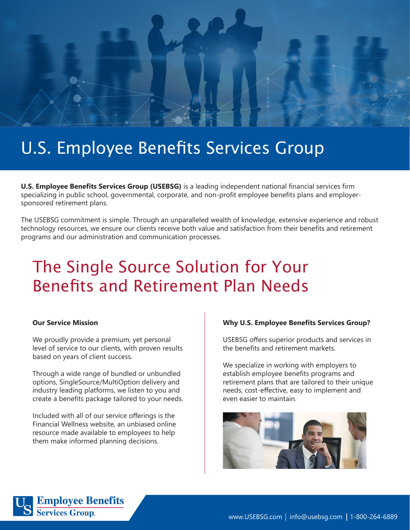

# U.S. Employee Benefits Services Group

**U.S. Employee Benefits Services Group (USEBSG)** is a leading independent national financial services firm specializing in public school, governmental, corporate, and non-profit employee benefits plans and employersponsored retirement plans.

The USEBSG commitment is simple. Through an unparalleled wealth of knowledge, extensive experience and robust technology resources, we ensure our clients receive both value and satisfaction from their benefits and retirement programs and our administration and communication processes.

# The Single Source Solution for Your Benefits and Retirement Plan Needs

#### **Our Service Mission**

We proudly provide a premium, yet personal level of service to our clients, with proven results based on years of client success.

Through a wide range of bundled or unbundled options, SingleSource/MultiOption delivery and industry leading platforms, we listen to you and create a benefits package tailored to your needs.

Included with all of our service offerings is the Financial Wellness website, an unbiased online resource made available to employees to help them make informed planning decisions.

#### **Why U.S. Employee Benefits Services Group?**

USEBSG offers superior products and services in the benefits and retirement markets.

We specialize in working with employers to establish employee benefits programs and retirement plans that are tailored to their unique needs, cost-effective, easy to implement and even easier to maintain.